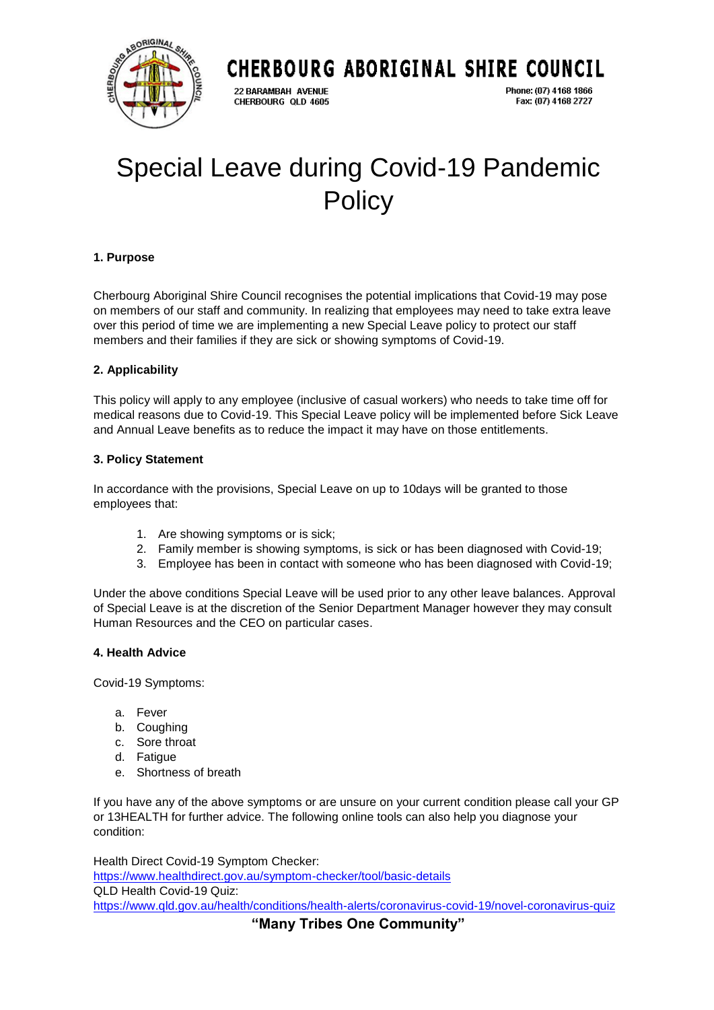

# CHERBOURG ABORIGINAL SHIRE COUNCIL

22 BARAMBAH AVENUE CHERBOURG QLD 4605

Phone: (07) 4168 1866 Fax: (07) 4168 2727

# Special Leave during Covid-19 Pandemic **Policy**

# **1. Purpose**

Cherbourg Aboriginal Shire Council recognises the potential implications that Covid-19 may pose on members of our staff and community. In realizing that employees may need to take extra leave over this period of time we are implementing a new Special Leave policy to protect our staff members and their families if they are sick or showing symptoms of Covid-19.

# **2. Applicability**

This policy will apply to any employee (inclusive of casual workers) who needs to take time off for medical reasons due to Covid-19. This Special Leave policy will be implemented before Sick Leave and Annual Leave benefits as to reduce the impact it may have on those entitlements.

### **3. Policy Statement**

In accordance with the provisions, Special Leave on up to 10days will be granted to those employees that:

- 1. Are showing symptoms or is sick;
- 2. Family member is showing symptoms, is sick or has been diagnosed with Covid-19;
- 3. Employee has been in contact with someone who has been diagnosed with Covid-19;

Under the above conditions Special Leave will be used prior to any other leave balances. Approval of Special Leave is at the discretion of the Senior Department Manager however they may consult Human Resources and the CEO on particular cases.

#### **4. Health Advice**

Covid-19 Symptoms:

- a. Fever
- b. Coughing
- c. Sore throat
- d. Fatigue
- e. Shortness of breath

If you have any of the above symptoms or are unsure on your current condition please call your GP or 13HEALTH for further advice. The following online tools can also help you diagnose your condition:

Health Direct Covid-19 Symptom Checker: <https://www.healthdirect.gov.au/symptom-checker/tool/basic-details> QLD Health Covid-19 Quiz: <https://www.qld.gov.au/health/conditions/health-alerts/coronavirus-covid-19/novel-coronavirus-quiz>